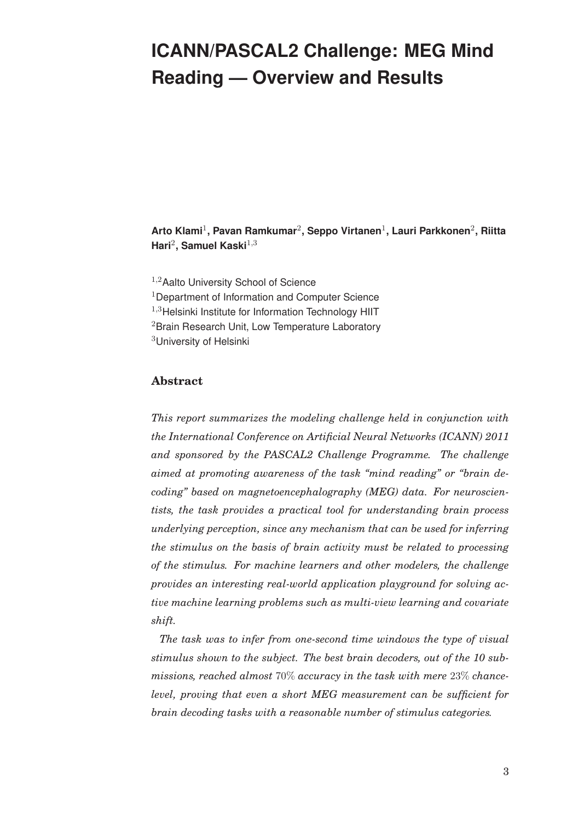# **ICANN/PASCAL2 Challenge: MEG Mind Reading — Overview and Results**

**Arto Klami**1**, Pavan Ramkumar**2**, Seppo Virtanen**1**, Lauri Parkkonen**2**, Riitta Hari**2**, Samuel Kaski**1,<sup>3</sup>

<sup>1,2</sup>Aalto University School of Science <sup>1</sup>Department of Information and Computer Science  $1,3$ Helsinki Institute for Information Technology HIIT <sup>2</sup> Brain Research Unit, Low Temperature Laboratory <sup>3</sup>University of Helsinki

## **Abstract**

*This report summarizes the modeling challenge held in conjunction with the International Conference on Artificial Neural Networks (ICANN) 2011 and sponsored by the PASCAL2 Challenge Programme. The challenge aimed at promoting awareness of the task "mind reading" or "brain decoding" based on magnetoencephalography (MEG) data. For neuroscientists, the task provides a practical tool for understanding brain process underlying perception, since any mechanism that can be used for inferring the stimulus on the basis of brain activity must be related to processing of the stimulus. For machine learners and other modelers, the challenge provides an interesting real-world application playground for solving active machine learning problems such as multi-view learning and covariate shift.*

*The task was to infer from one-second time windows the type of visual stimulus shown to the subject. The best brain decoders, out of the 10 submissions, reached almost* 70% *accuracy in the task with mere* 23% *chancelevel, proving that even a short MEG measurement can be sufficient for brain decoding tasks with a reasonable number of stimulus categories.*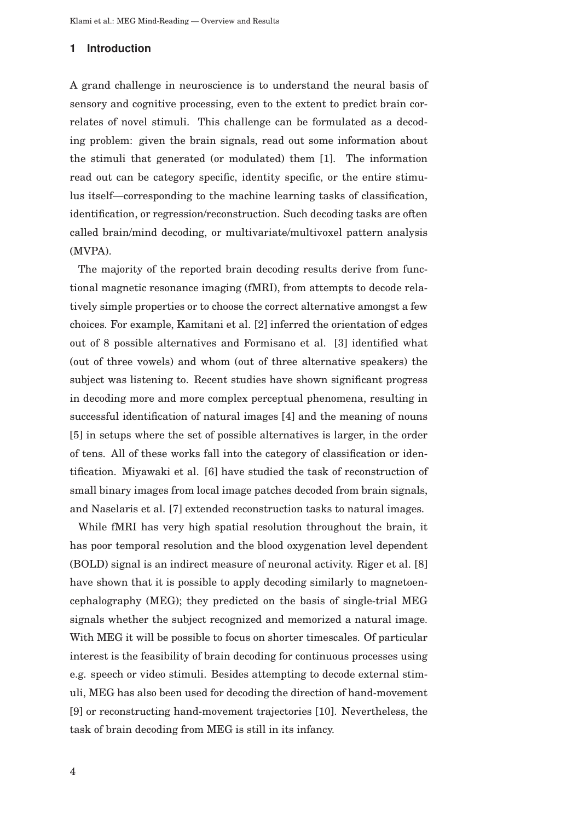## **1 Introduction**

A grand challenge in neuroscience is to understand the neural basis of sensory and cognitive processing, even to the extent to predict brain correlates of novel stimuli. This challenge can be formulated as a decoding problem: given the brain signals, read out some information about the stimuli that generated (or modulated) them [1]. The information read out can be category specific, identity specific, or the entire stimulus itself—corresponding to the machine learning tasks of classification, identification, or regression/reconstruction. Such decoding tasks are often called brain/mind decoding, or multivariate/multivoxel pattern analysis (MVPA).

The majority of the reported brain decoding results derive from functional magnetic resonance imaging (fMRI), from attempts to decode relatively simple properties or to choose the correct alternative amongst a few choices. For example, Kamitani et al. [2] inferred the orientation of edges out of 8 possible alternatives and Formisano et al. [3] identified what (out of three vowels) and whom (out of three alternative speakers) the subject was listening to. Recent studies have shown significant progress in decoding more and more complex perceptual phenomena, resulting in successful identification of natural images [4] and the meaning of nouns [5] in setups where the set of possible alternatives is larger, in the order of tens. All of these works fall into the category of classification or identification. Miyawaki et al. [6] have studied the task of reconstruction of small binary images from local image patches decoded from brain signals, and Naselaris et al. [7] extended reconstruction tasks to natural images.

While fMRI has very high spatial resolution throughout the brain, it has poor temporal resolution and the blood oxygenation level dependent (BOLD) signal is an indirect measure of neuronal activity. Riger et al. [8] have shown that it is possible to apply decoding similarly to magnetoencephalography (MEG); they predicted on the basis of single-trial MEG signals whether the subject recognized and memorized a natural image. With MEG it will be possible to focus on shorter timescales. Of particular interest is the feasibility of brain decoding for continuous processes using e.g. speech or video stimuli. Besides attempting to decode external stimuli, MEG has also been used for decoding the direction of hand-movement [9] or reconstructing hand-movement trajectories [10]. Nevertheless, the task of brain decoding from MEG is still in its infancy.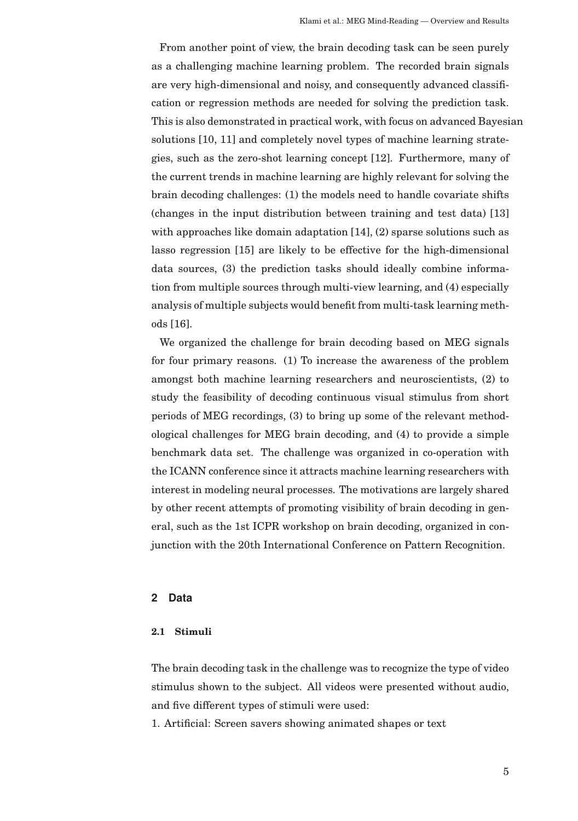From another point of view, the brain decoding task can be seen purely as a challenging machine learning problem. The recorded brain signals are very high-dimensional and noisy, and consequently advanced classification or regression methods are needed for solving the prediction task. This is also demonstrated in practical work, with focus on advanced Bayesian solutions [10, 11] and completely novel types of machine learning strategies, such as the zero-shot learning concept [12]. Furthermore, many of the current trends in machine learning are highly relevant for solving the brain decoding challenges: (1) the models need to handle covariate shifts (changes in the input distribution between training and test data) [13] with approaches like domain adaptation  $[14]$ ,  $(2)$  sparse solutions such as lasso regression [15] are likely to be effective for the high-dimensional data sources, (3) the prediction tasks should ideally combine information from multiple sources through multi-view learning, and (4) especially analysis of multiple subjects would benefit from multi-task learning methods [16].

We organized the challenge for brain decoding based on MEG signals for four primary reasons. (1) To increase the awareness of the problem amongst both machine learning researchers and neuroscientists, (2) to study the feasibility of decoding continuous visual stimulus from short periods of MEG recordings, (3) to bring up some of the relevant methodological challenges for MEG brain decoding, and (4) to provide a simple benchmark data set. The challenge was organized in co-operation with the ICANN conference since it attracts machine learning researchers with interest in modeling neural processes. The motivations are largely shared by other recent attempts of promoting visibility of brain decoding in general, such as the 1st ICPR workshop on brain decoding, organized in conjunction with the 20th International Conference on Pattern Recognition.

## **2 Data**

#### **2.1 Stimuli**

The brain decoding task in the challenge was to recognize the type of video stimulus shown to the subject. All videos were presented without audio, and five different types of stimuli were used:

1. Artificial: Screen savers showing animated shapes or text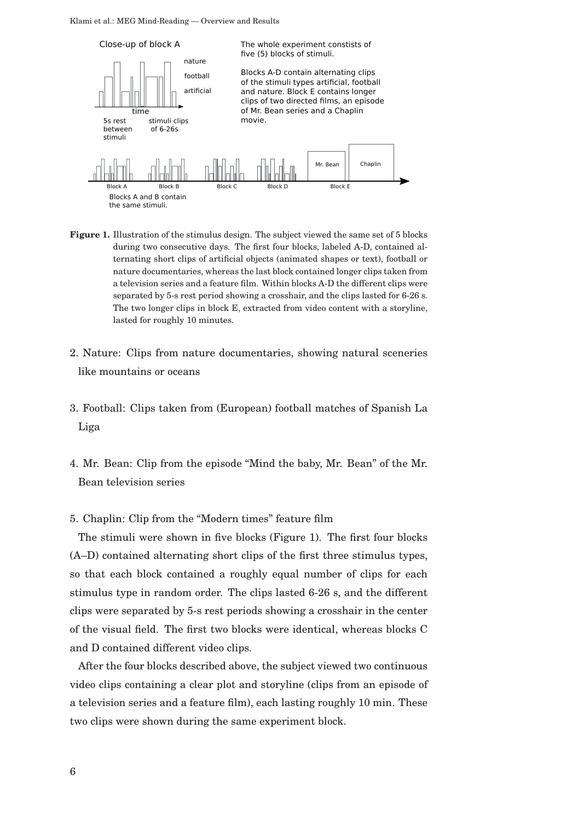Klami et al.: MEG Mind-Reading — Overview and Results



- **Figure 1.** Illustration of the stimulus design. The subject viewed the same set of 5 blocks during two consecutive days. The first four blocks, labeled A-D, contained alternating short clips of artificial objects (animated shapes or text), football or nature documentaries, whereas the last block contained longer clips taken from a television series and a feature film. Within blocks A-D the different clips were separated by 5-s rest period showing a crosshair, and the clips lasted for 6-26 s. The two longer clips in block E, extracted from video content with a storyline, lasted for roughly 10 minutes.
- 2. Nature: Clips from nature documentaries, showing natural sceneries like mountains or oceans
- 3. Football: Clips taken from (European) football matches of Spanish La Liga
- 4. Mr. Bean: Clip from the episode "Mind the baby, Mr. Bean" of the Mr. Bean television series
- 5. Chaplin: Clip from the "Modern times" feature film

The stimuli were shown in five blocks (Figure 1). The first four blocks (A–D) contained alternating short clips of the first three stimulus types, so that each block contained a roughly equal number of clips for each stimulus type in random order. The clips lasted 6-26 s, and the different clips were separated by 5-s rest periods showing a crosshair in the center of the visual field. The first two blocks were identical, whereas blocks C and D contained different video clips.

After the four blocks described above, the subject viewed two continuous video clips containing a clear plot and storyline (clips from an episode of a television series and a feature film), each lasting roughly 10 min. These two clips were shown during the same experiment block.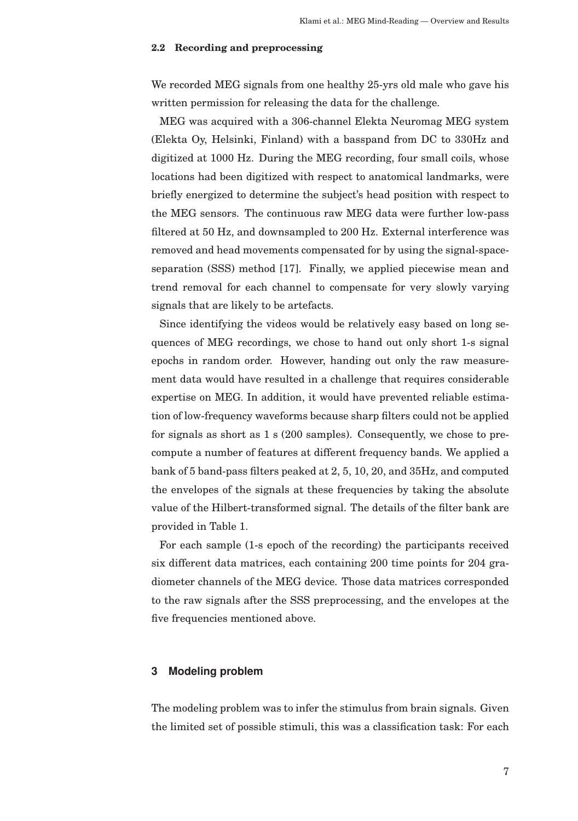#### **2.2 Recording and preprocessing**

We recorded MEG signals from one healthy 25-yrs old male who gave his written permission for releasing the data for the challenge.

MEG was acquired with a 306-channel Elekta Neuromag MEG system (Elekta Oy, Helsinki, Finland) with a basspand from DC to 330Hz and digitized at 1000 Hz. During the MEG recording, four small coils, whose locations had been digitized with respect to anatomical landmarks, were briefly energized to determine the subject's head position with respect to the MEG sensors. The continuous raw MEG data were further low-pass filtered at 50 Hz, and downsampled to 200 Hz. External interference was removed and head movements compensated for by using the signal-spaceseparation (SSS) method [17]. Finally, we applied piecewise mean and trend removal for each channel to compensate for very slowly varying signals that are likely to be artefacts.

Since identifying the videos would be relatively easy based on long sequences of MEG recordings, we chose to hand out only short 1-s signal epochs in random order. However, handing out only the raw measurement data would have resulted in a challenge that requires considerable expertise on MEG. In addition, it would have prevented reliable estimation of low-frequency waveforms because sharp filters could not be applied for signals as short as 1 s (200 samples). Consequently, we chose to precompute a number of features at different frequency bands. We applied a bank of 5 band-pass filters peaked at 2, 5, 10, 20, and 35Hz, and computed the envelopes of the signals at these frequencies by taking the absolute value of the Hilbert-transformed signal. The details of the filter bank are provided in Table 1.

For each sample (1-s epoch of the recording) the participants received six different data matrices, each containing 200 time points for 204 gradiometer channels of the MEG device. Those data matrices corresponded to the raw signals after the SSS preprocessing, and the envelopes at the five frequencies mentioned above.

## **3 Modeling problem**

The modeling problem was to infer the stimulus from brain signals. Given the limited set of possible stimuli, this was a classification task: For each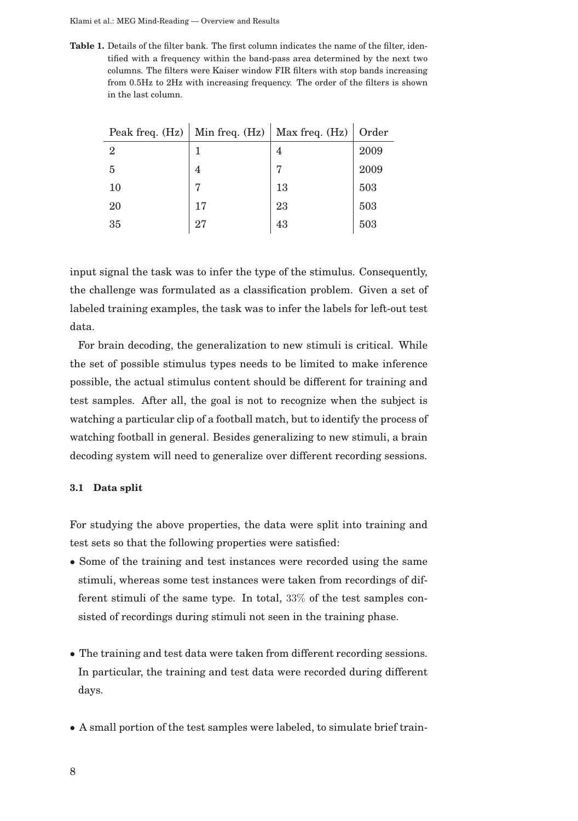Klami et al.: MEG Mind-Reading — Overview and Results

**Table 1.** Details of the filter bank. The first column indicates the name of the filter, identified with a frequency within the band-pass area determined by the next two columns. The filters were Kaiser window FIR filters with stop bands increasing from 0.5Hz to 2Hz with increasing frequency. The order of the filters is shown in the last column.

| Peak freq. (Hz) | Min freq. $(Hz)$ | Max freq. (Hz) | Order |
|-----------------|------------------|----------------|-------|
| $\overline{2}$  |                  | 4              | 2009  |
| 5               | 4                | 7              | 2009  |
| 10              | 7                | 13             | 503   |
| 20              | 17               | 23             | 503   |
| 35              | 27               | 43             | 503   |

input signal the task was to infer the type of the stimulus. Consequently, the challenge was formulated as a classification problem. Given a set of labeled training examples, the task was to infer the labels for left-out test data.

For brain decoding, the generalization to new stimuli is critical. While the set of possible stimulus types needs to be limited to make inference possible, the actual stimulus content should be different for training and test samples. After all, the goal is not to recognize when the subject is watching a particular clip of a football match, but to identify the process of watching football in general. Besides generalizing to new stimuli, a brain decoding system will need to generalize over different recording sessions.

#### **3.1 Data split**

For studying the above properties, the data were split into training and test sets so that the following properties were satisfied:

- Some of the training and test instances were recorded using the same stimuli, whereas some test instances were taken from recordings of different stimuli of the same type. In total, 33% of the test samples consisted of recordings during stimuli not seen in the training phase.
- The training and test data were taken from different recording sessions. In particular, the training and test data were recorded during different days.
- A small portion of the test samples were labeled, to simulate brief train-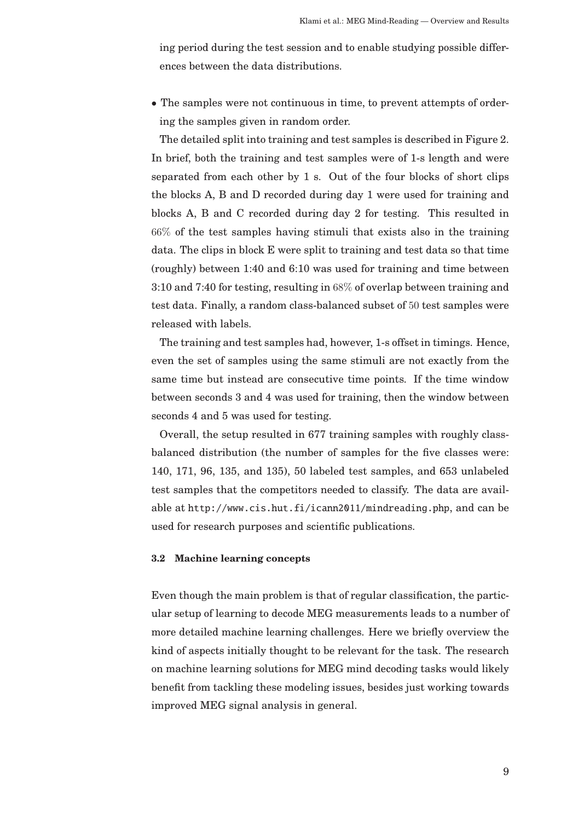ing period during the test session and to enable studying possible differences between the data distributions.

• The samples were not continuous in time, to prevent attempts of ordering the samples given in random order.

The detailed split into training and test samples is described in Figure 2. In brief, both the training and test samples were of 1-s length and were separated from each other by 1 s. Out of the four blocks of short clips the blocks A, B and D recorded during day 1 were used for training and blocks A, B and C recorded during day 2 for testing. This resulted in 66% of the test samples having stimuli that exists also in the training data. The clips in block E were split to training and test data so that time (roughly) between 1:40 and 6:10 was used for training and time between 3:10 and 7:40 for testing, resulting in 68% of overlap between training and test data. Finally, a random class-balanced subset of 50 test samples were released with labels.

The training and test samples had, however, 1-s offset in timings. Hence, even the set of samples using the same stimuli are not exactly from the same time but instead are consecutive time points. If the time window between seconds 3 and 4 was used for training, then the window between seconds 4 and 5 was used for testing.

Overall, the setup resulted in 677 training samples with roughly classbalanced distribution (the number of samples for the five classes were: 140, 171, 96, 135, and 135), 50 labeled test samples, and 653 unlabeled test samples that the competitors needed to classify. The data are available at http://www.cis.hut.fi/icann2011/mindreading.php, and can be used for research purposes and scientific publications.

#### **3.2 Machine learning concepts**

Even though the main problem is that of regular classification, the particular setup of learning to decode MEG measurements leads to a number of more detailed machine learning challenges. Here we briefly overview the kind of aspects initially thought to be relevant for the task. The research on machine learning solutions for MEG mind decoding tasks would likely benefit from tackling these modeling issues, besides just working towards improved MEG signal analysis in general.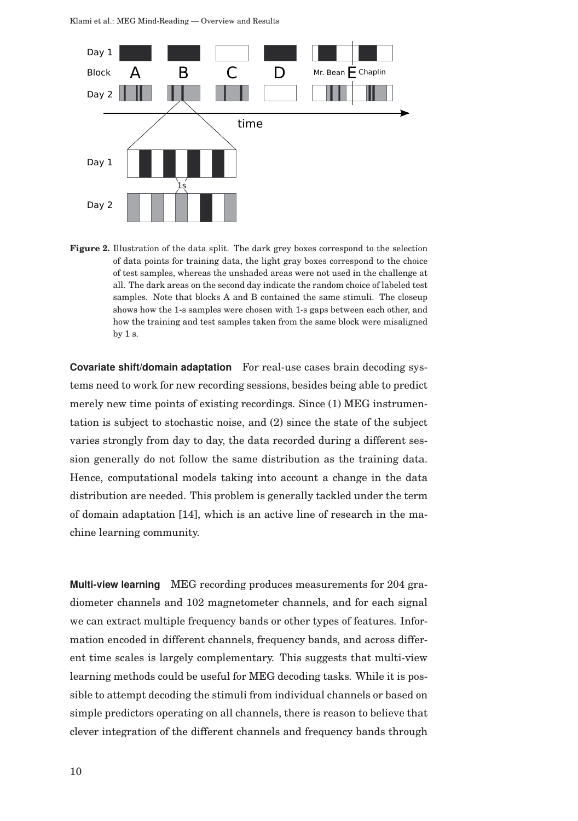

**Figure 2.** Illustration of the data split. The dark grey boxes correspond to the selection of data points for training data, the light gray boxes correspond to the choice of test samples, whereas the unshaded areas were not used in the challenge at all. The dark areas on the second day indicate the random choice of labeled test samples. Note that blocks A and B contained the same stimuli. The closeup shows how the 1-s samples were chosen with 1-s gaps between each other, and how the training and test samples taken from the same block were misaligned by 1 s.

**Covariate shift/domain adaptation** For real-use cases brain decoding systems need to work for new recording sessions, besides being able to predict merely new time points of existing recordings. Since (1) MEG instrumentation is subject to stochastic noise, and (2) since the state of the subject varies strongly from day to day, the data recorded during a different session generally do not follow the same distribution as the training data. Hence, computational models taking into account a change in the data distribution are needed. This problem is generally tackled under the term of domain adaptation [14], which is an active line of research in the machine learning community.

**Multi-view learning** MEG recording produces measurements for 204 gradiometer channels and 102 magnetometer channels, and for each signal we can extract multiple frequency bands or other types of features. Information encoded in different channels, frequency bands, and across different time scales is largely complementary. This suggests that multi-view learning methods could be useful for MEG decoding tasks. While it is possible to attempt decoding the stimuli from individual channels or based on simple predictors operating on all channels, there is reason to believe that clever integration of the different channels and frequency bands through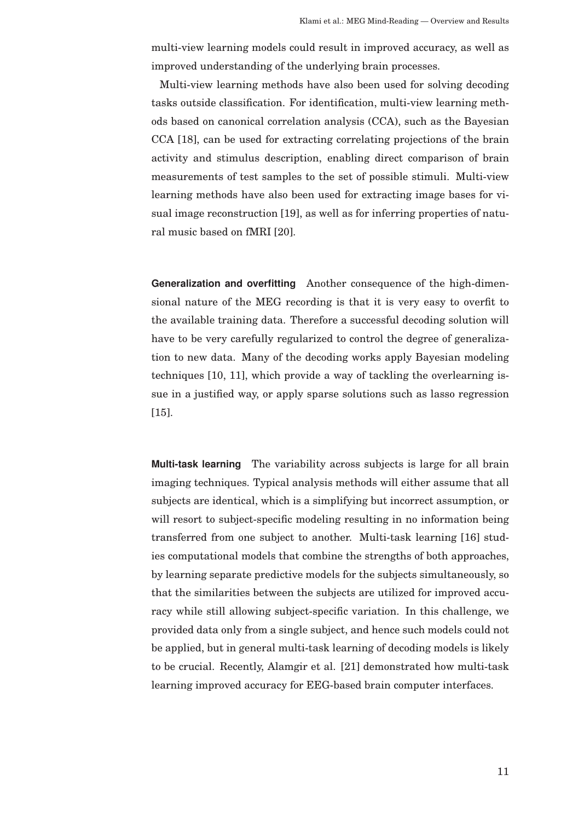multi-view learning models could result in improved accuracy, as well as improved understanding of the underlying brain processes.

Multi-view learning methods have also been used for solving decoding tasks outside classification. For identification, multi-view learning methods based on canonical correlation analysis (CCA), such as the Bayesian CCA [18], can be used for extracting correlating projections of the brain activity and stimulus description, enabling direct comparison of brain measurements of test samples to the set of possible stimuli. Multi-view learning methods have also been used for extracting image bases for visual image reconstruction [19], as well as for inferring properties of natural music based on fMRI [20].

**Generalization and overfitting** Another consequence of the high-dimensional nature of the MEG recording is that it is very easy to overfit to the available training data. Therefore a successful decoding solution will have to be very carefully regularized to control the degree of generalization to new data. Many of the decoding works apply Bayesian modeling techniques [10, 11], which provide a way of tackling the overlearning issue in a justified way, or apply sparse solutions such as lasso regression [15].

**Multi-task learning** The variability across subjects is large for all brain imaging techniques. Typical analysis methods will either assume that all subjects are identical, which is a simplifying but incorrect assumption, or will resort to subject-specific modeling resulting in no information being transferred from one subject to another. Multi-task learning [16] studies computational models that combine the strengths of both approaches, by learning separate predictive models for the subjects simultaneously, so that the similarities between the subjects are utilized for improved accuracy while still allowing subject-specific variation. In this challenge, we provided data only from a single subject, and hence such models could not be applied, but in general multi-task learning of decoding models is likely to be crucial. Recently, Alamgir et al. [21] demonstrated how multi-task learning improved accuracy for EEG-based brain computer interfaces.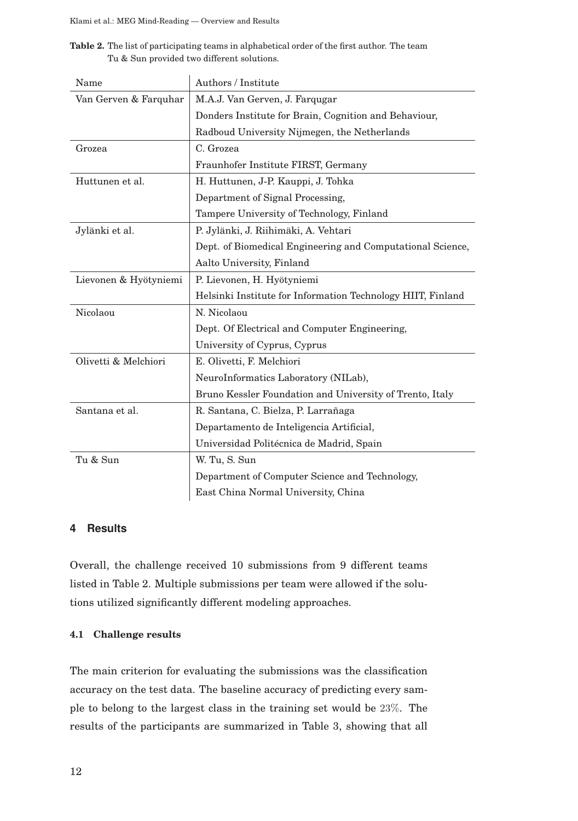**Table 2.** The list of participating teams in alphabetical order of the first author. The team Tu & Sun provided two different solutions.

| Name                  | Authors / Institute                                         |  |  |  |  |  |
|-----------------------|-------------------------------------------------------------|--|--|--|--|--|
| Van Gerven & Farquhar | M.A.J. Van Gerven, J. Farqugar                              |  |  |  |  |  |
|                       | Donders Institute for Brain, Cognition and Behaviour,       |  |  |  |  |  |
|                       | Radboud University Nijmegen, the Netherlands                |  |  |  |  |  |
| Grozea                | C. Grozea                                                   |  |  |  |  |  |
|                       | Fraunhofer Institute FIRST, Germany                         |  |  |  |  |  |
| Huttunen et al.       | H. Huttunen, J-P. Kauppi, J. Tohka                          |  |  |  |  |  |
|                       | Department of Signal Processing,                            |  |  |  |  |  |
|                       | Tampere University of Technology, Finland                   |  |  |  |  |  |
| Jylänki et al.        | P. Jylänki, J. Riihimäki, A. Vehtari                        |  |  |  |  |  |
|                       | Dept. of Biomedical Engineering and Computational Science,  |  |  |  |  |  |
|                       | Aalto University, Finland                                   |  |  |  |  |  |
| Lievonen & Hyötyniemi | P. Lievonen, H. Hyötyniemi                                  |  |  |  |  |  |
|                       | Helsinki Institute for Information Technology HIIT, Finland |  |  |  |  |  |
| Nicolaou              | N. Nicolaou                                                 |  |  |  |  |  |
|                       | Dept. Of Electrical and Computer Engineering,               |  |  |  |  |  |
|                       | University of Cyprus, Cyprus                                |  |  |  |  |  |
| Olivetti & Melchiori  | E. Olivetti, F. Melchiori                                   |  |  |  |  |  |
|                       | NeuroInformatics Laboratory (NILab),                        |  |  |  |  |  |
|                       | Bruno Kessler Foundation and University of Trento, Italy    |  |  |  |  |  |
| Santana et al.        | R. Santana, C. Bielza, P. Larrañaga                         |  |  |  |  |  |
|                       | Departamento de Inteligencia Artificial,                    |  |  |  |  |  |
|                       | Universidad Politécnica de Madrid, Spain                    |  |  |  |  |  |
| Tu & Sun              | W. Tu, S. Sun                                               |  |  |  |  |  |
|                       | Department of Computer Science and Technology,              |  |  |  |  |  |
|                       | East China Normal University, China                         |  |  |  |  |  |

## **4 Results**

Overall, the challenge received 10 submissions from 9 different teams listed in Table 2. Multiple submissions per team were allowed if the solutions utilized significantly different modeling approaches.

## **4.1 Challenge results**

The main criterion for evaluating the submissions was the classification accuracy on the test data. The baseline accuracy of predicting every sample to belong to the largest class in the training set would be 23%. The results of the participants are summarized in Table 3, showing that all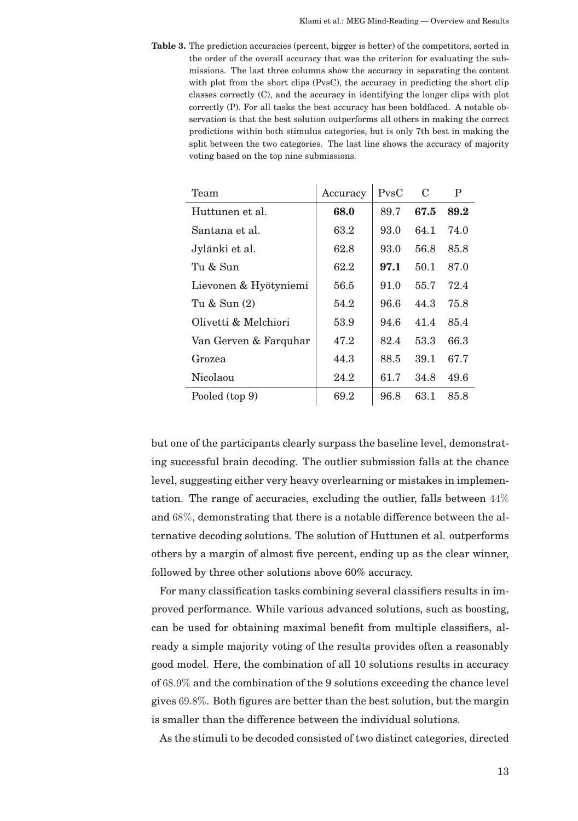**Table 3.** The prediction accuracies (percent, bigger is better) of the competitors, sorted in the order of the overall accuracy that was the criterion for evaluating the submissions. The last three columns show the accuracy in separating the content with plot from the short clips (PvsC), the accuracy in predicting the short clip classes correctly (C), and the accuracy in identifying the longer clips with plot correctly (P). For all tasks the best accuracy has been boldfaced. A notable observation is that the best solution outperforms all others in making the correct predictions within both stimulus categories, but is only 7th best in making the split between the two categories. The last line shows the accuracy of majority voting based on the top nine submissions.

| Team                  | Accuracy | P <sub>VS</sub> | C    | P    |
|-----------------------|----------|-----------------|------|------|
| Huttunen et al.       | 68.0     | 89.7            | 67.5 | 89.2 |
| Santana et al.        | 63.2     | 93.0            | 64.1 | 74.0 |
| Jylänki et al.        | 62.8     | 93.0            | 56.8 | 85.8 |
| Tu & Sun              | 62.2     | 97.1            | 50.1 | 87.0 |
| Lievonen & Hyötyniemi | 56.5     | 91.0            | 55.7 | 72.4 |
| Tu & Sun (2)          | 54.2     | 96.6            | 44.3 | 75.8 |
| Olivetti & Melchiori  | 53.9     | 94.6            | 41.4 | 85.4 |
| Van Gerven & Farquhar | 47.2     | 82.4            | 53.3 | 66.3 |
| Grozea                | 44.3     | 88.5            | 39.1 | 67.7 |
| Nicolaou              | 24.2     | 61.7            | 34.8 | 49.6 |
| Pooled (top 9)        | 69.2     | 96.8            | 63.1 | 85.8 |

but one of the participants clearly surpass the baseline level, demonstrating successful brain decoding. The outlier submission falls at the chance level, suggesting either very heavy overlearning or mistakes in implementation. The range of accuracies, excluding the outlier, falls between 44% and 68%, demonstrating that there is a notable difference between the alternative decoding solutions. The solution of Huttunen et al. outperforms others by a margin of almost five percent, ending up as the clear winner, followed by three other solutions above 60% accuracy.

For many classification tasks combining several classifiers results in improved performance. While various advanced solutions, such as boosting, can be used for obtaining maximal benefit from multiple classifiers, already a simple majority voting of the results provides often a reasonably good model. Here, the combination of all 10 solutions results in accuracy of 68.9% and the combination of the 9 solutions exceeding the chance level gives 69.8%. Both figures are better than the best solution, but the margin is smaller than the difference between the individual solutions.

As the stimuli to be decoded consisted of two distinct categories, directed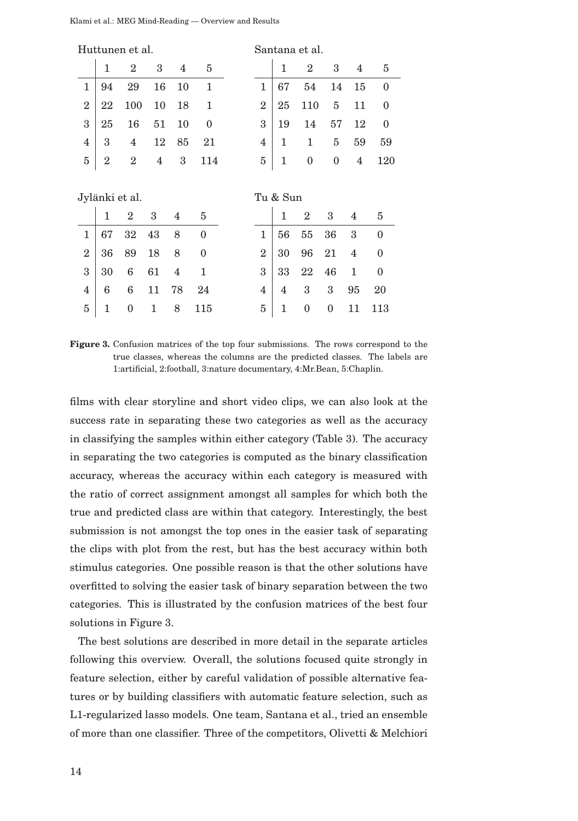|                |                | Huttunen et al. |    |                |                | Santana et al. |                |                  |              |                |                  |
|----------------|----------------|-----------------|----|----------------|----------------|----------------|----------------|------------------|--------------|----------------|------------------|
|                | 1              | $\overline{2}$  | 3  | 4              | 5              |                | 1              | $\overline{2}$   | 3            | 4              | 5                |
| $\mathbf{1}$   | 94             | 29              | 16 | 10             | $\mathbf{1}$   | $\mathbf{1}$   | 67             | 54               | 14           | 15             | $\mathbf{0}$     |
| $\overline{2}$ | 22             | 100             | 10 | 18             | 1              | $\overline{2}$ | 25             | 110              | 5            | 11             | $\boldsymbol{0}$ |
| 3              | 25             | 16              | 51 | 10             | $\mathbf{0}$   | 3              | 19             | 14               | 57           | 12             | $\boldsymbol{0}$ |
| 4              | 3              | $\overline{4}$  | 12 | 85             | 21             | $\overline{4}$ | 1              | 1                | 5            | 59             | 59               |
| 5              | $\overline{2}$ | $\overline{2}$  | 4  | 3              | 114            | 5              | 1              | $\boldsymbol{0}$ | $\mathbf{0}$ | 4              | 120              |
|                |                |                 |    |                |                |                |                |                  |              |                |                  |
|                |                |                 |    |                |                |                |                |                  |              |                |                  |
|                |                | Jylänki et al.  |    |                |                |                | Tu & Sun       |                  |              |                |                  |
|                | $\mathbf{1}$   | $\overline{2}$  | 3  | 4              | 5              |                | 1              | $\overline{2}$   | 3            | 4              | 5                |
| $\mathbf{1}$   | 67             | 32              | 43 | 8              | $\overline{0}$ | $\mathbf{1}$   | 56             | 55               | 36           | 3              | $\theta$         |
| $\overline{2}$ | 36             | 89              | 18 | 8              | $\theta$       | $\overline{2}$ | 30             | 96               | 21           | $\overline{4}$ | $\theta$         |
| 3              | 30             | 6               | 61 | $\overline{4}$ | $\mathbf{1}$   | 3              | 33             | 22               | 46           | $\mathbf{1}$   | $\overline{0}$   |
| $\overline{4}$ | 6              | 6               | 11 | 78             | 24             | $\overline{4}$ | $\overline{4}$ | 3                | 3            | 95             | 20               |
| 5              | $\mathbf 1$    | 0               | 1  | 8              | 115            | 5              | 1              | 0                | $\mathbf{0}$ | 11             | 113              |

**Figure 3.** Confusion matrices of the top four submissions. The rows correspond to the true classes, whereas the columns are the predicted classes. The labels are 1:artificial, 2:football, 3:nature documentary, 4:Mr.Bean, 5:Chaplin.

films with clear storyline and short video clips, we can also look at the success rate in separating these two categories as well as the accuracy in classifying the samples within either category (Table 3). The accuracy in separating the two categories is computed as the binary classification accuracy, whereas the accuracy within each category is measured with the ratio of correct assignment amongst all samples for which both the true and predicted class are within that category. Interestingly, the best submission is not amongst the top ones in the easier task of separating the clips with plot from the rest, but has the best accuracy within both stimulus categories. One possible reason is that the other solutions have overfitted to solving the easier task of binary separation between the two categories. This is illustrated by the confusion matrices of the best four solutions in Figure 3.

The best solutions are described in more detail in the separate articles following this overview. Overall, the solutions focused quite strongly in feature selection, either by careful validation of possible alternative features or by building classifiers with automatic feature selection, such as L1-regularized lasso models. One team, Santana et al., tried an ensemble of more than one classifier. Three of the competitors, Olivetti & Melchiori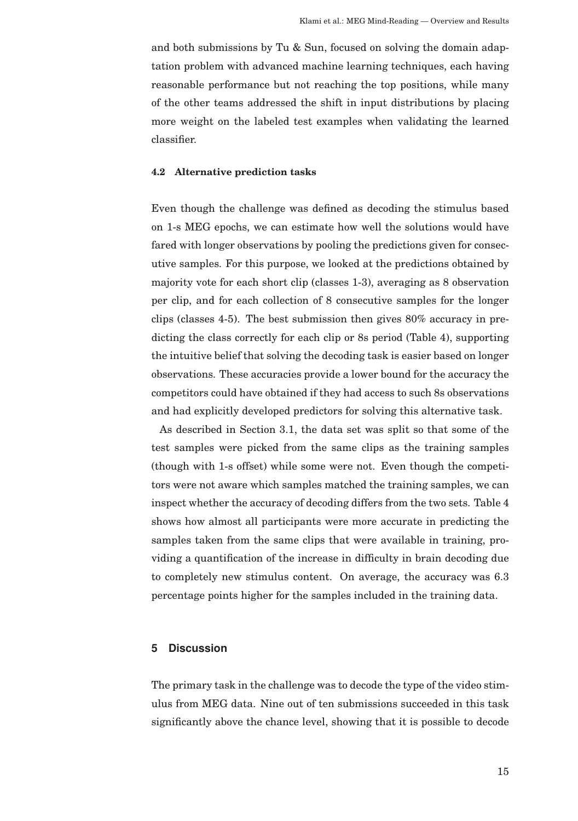and both submissions by Tu & Sun, focused on solving the domain adaptation problem with advanced machine learning techniques, each having reasonable performance but not reaching the top positions, while many of the other teams addressed the shift in input distributions by placing more weight on the labeled test examples when validating the learned classifier.

#### **4.2 Alternative prediction tasks**

Even though the challenge was defined as decoding the stimulus based on 1-s MEG epochs, we can estimate how well the solutions would have fared with longer observations by pooling the predictions given for consecutive samples. For this purpose, we looked at the predictions obtained by majority vote for each short clip (classes 1-3), averaging as 8 observation per clip, and for each collection of 8 consecutive samples for the longer clips (classes 4-5). The best submission then gives 80% accuracy in predicting the class correctly for each clip or 8s period (Table 4), supporting the intuitive belief that solving the decoding task is easier based on longer observations. These accuracies provide a lower bound for the accuracy the competitors could have obtained if they had access to such 8s observations and had explicitly developed predictors for solving this alternative task.

As described in Section 3.1, the data set was split so that some of the test samples were picked from the same clips as the training samples (though with 1-s offset) while some were not. Even though the competitors were not aware which samples matched the training samples, we can inspect whether the accuracy of decoding differs from the two sets. Table 4 shows how almost all participants were more accurate in predicting the samples taken from the same clips that were available in training, providing a quantification of the increase in difficulty in brain decoding due to completely new stimulus content. On average, the accuracy was 6.3 percentage points higher for the samples included in the training data.

## **5 Discussion**

The primary task in the challenge was to decode the type of the video stimulus from MEG data. Nine out of ten submissions succeeded in this task significantly above the chance level, showing that it is possible to decode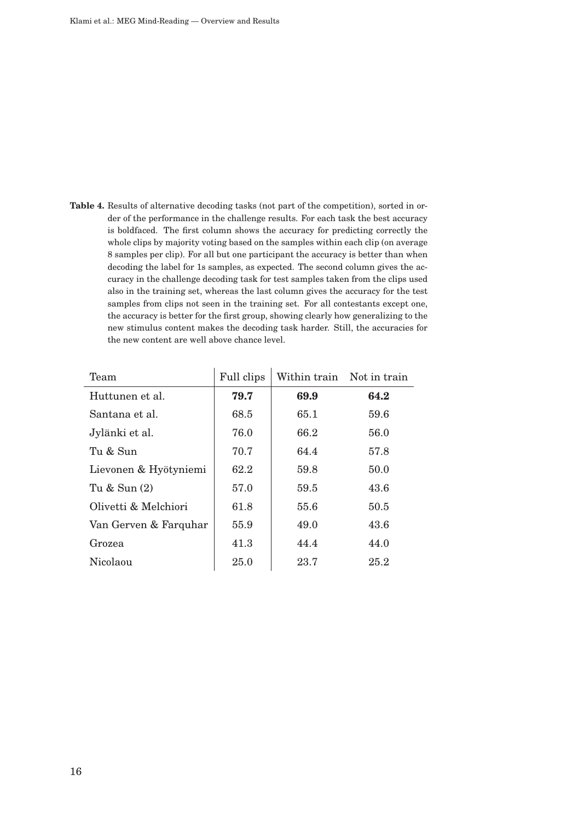**Table 4.** Results of alternative decoding tasks (not part of the competition), sorted in order of the performance in the challenge results. For each task the best accuracy is boldfaced. The first column shows the accuracy for predicting correctly the whole clips by majority voting based on the samples within each clip (on average 8 samples per clip). For all but one participant the accuracy is better than when decoding the label for 1s samples, as expected. The second column gives the accuracy in the challenge decoding task for test samples taken from the clips used also in the training set, whereas the last column gives the accuracy for the test samples from clips not seen in the training set. For all contestants except one, the accuracy is better for the first group, showing clearly how generalizing to the new stimulus content makes the decoding task harder. Still, the accuracies for the new content are well above chance level.

| Team                  | Full clips | Within train Not in train |      |
|-----------------------|------------|---------------------------|------|
| Huttunen et al.       | 79.7       | 69.9                      | 64.2 |
| Santana et al.        | 68.5       | 65.1                      | 59.6 |
| Jylänki et al.        | 76.0       | 66.2                      | 56.0 |
| $T_{11}$ & $S_{11}$ n | 70.7       | 64.4                      | 57.8 |
| Lievonen & Hyötyniemi | 62.2       | 59.8                      | 50.0 |
| Tu & Sun (2)          | 57.0       | 59.5                      | 43.6 |
| Olivetti & Melchiori  | 61.8       | 55.6                      | 50.5 |
| Van Gerven & Farquhar | 55.9       | 49.0                      | 43.6 |
| Grozea                | 41.3       | 44.4                      | 44.0 |
| Nicolaou              | 25.0       | 23.7                      | 25.2 |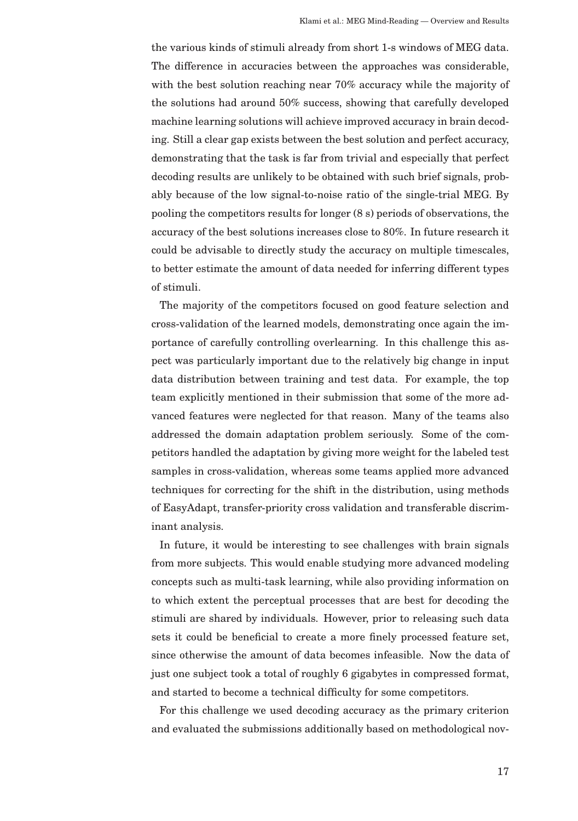the various kinds of stimuli already from short 1-s windows of MEG data. The difference in accuracies between the approaches was considerable, with the best solution reaching near 70% accuracy while the majority of the solutions had around 50% success, showing that carefully developed machine learning solutions will achieve improved accuracy in brain decoding. Still a clear gap exists between the best solution and perfect accuracy, demonstrating that the task is far from trivial and especially that perfect decoding results are unlikely to be obtained with such brief signals, probably because of the low signal-to-noise ratio of the single-trial MEG. By pooling the competitors results for longer (8 s) periods of observations, the accuracy of the best solutions increases close to 80%. In future research it could be advisable to directly study the accuracy on multiple timescales, to better estimate the amount of data needed for inferring different types of stimuli.

The majority of the competitors focused on good feature selection and cross-validation of the learned models, demonstrating once again the importance of carefully controlling overlearning. In this challenge this aspect was particularly important due to the relatively big change in input data distribution between training and test data. For example, the top team explicitly mentioned in their submission that some of the more advanced features were neglected for that reason. Many of the teams also addressed the domain adaptation problem seriously. Some of the competitors handled the adaptation by giving more weight for the labeled test samples in cross-validation, whereas some teams applied more advanced techniques for correcting for the shift in the distribution, using methods of EasyAdapt, transfer-priority cross validation and transferable discriminant analysis.

In future, it would be interesting to see challenges with brain signals from more subjects. This would enable studying more advanced modeling concepts such as multi-task learning, while also providing information on to which extent the perceptual processes that are best for decoding the stimuli are shared by individuals. However, prior to releasing such data sets it could be beneficial to create a more finely processed feature set, since otherwise the amount of data becomes infeasible. Now the data of just one subject took a total of roughly 6 gigabytes in compressed format, and started to become a technical difficulty for some competitors.

For this challenge we used decoding accuracy as the primary criterion and evaluated the submissions additionally based on methodological nov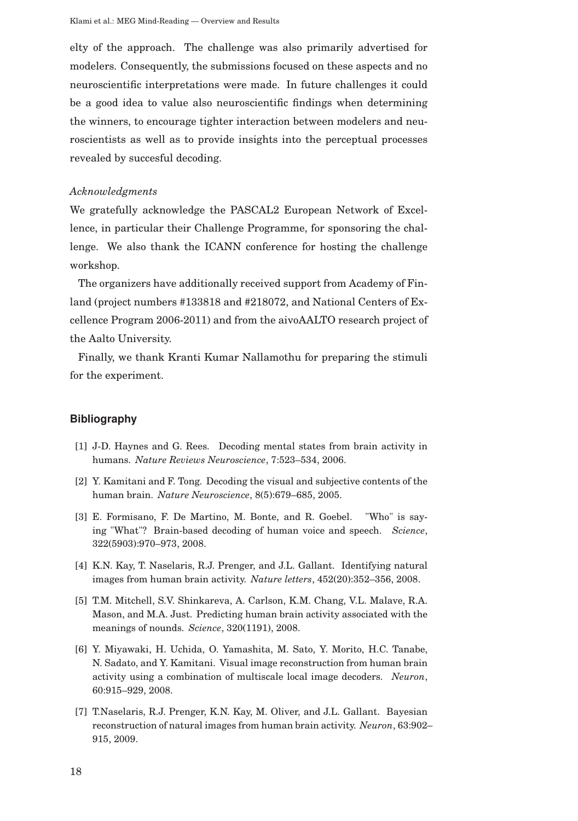elty of the approach. The challenge was also primarily advertised for modelers. Consequently, the submissions focused on these aspects and no neuroscientific interpretations were made. In future challenges it could be a good idea to value also neuroscientific findings when determining the winners, to encourage tighter interaction between modelers and neuroscientists as well as to provide insights into the perceptual processes revealed by succesful decoding.

#### *Acknowledgments*

We gratefully acknowledge the PASCAL2 European Network of Excellence, in particular their Challenge Programme, for sponsoring the challenge. We also thank the ICANN conference for hosting the challenge workshop.

The organizers have additionally received support from Academy of Finland (project numbers #133818 and #218072, and National Centers of Excellence Program 2006-2011) and from the aivoAALTO research project of the Aalto University.

Finally, we thank Kranti Kumar Nallamothu for preparing the stimuli for the experiment.

## **Bibliography**

- [1] J-D. Haynes and G. Rees. Decoding mental states from brain activity in humans. *Nature Reviews Neuroscience*, 7:523–534, 2006.
- [2] Y. Kamitani and F. Tong. Decoding the visual and subjective contents of the human brain. *Nature Neuroscience*, 8(5):679–685, 2005.
- [3] E. Formisano, F. De Martino, M. Bonte, and R. Goebel. "Who" is saying "What"? Brain-based decoding of human voice and speech. *Science*, 322(5903):970–973, 2008.
- [4] K.N. Kay, T. Naselaris, R.J. Prenger, and J.L. Gallant. Identifying natural images from human brain activity. *Nature letters*, 452(20):352–356, 2008.
- [5] T.M. Mitchell, S.V. Shinkareva, A. Carlson, K.M. Chang, V.L. Malave, R.A. Mason, and M.A. Just. Predicting human brain activity associated with the meanings of nounds. *Science*, 320(1191), 2008.
- [6] Y. Miyawaki, H. Uchida, O. Yamashita, M. Sato, Y. Morito, H.C. Tanabe, N. Sadato, and Y. Kamitani. Visual image reconstruction from human brain activity using a combination of multiscale local image decoders. *Neuron*, 60:915–929, 2008.
- [7] T.Naselaris, R.J. Prenger, K.N. Kay, M. Oliver, and J.L. Gallant. Bayesian reconstruction of natural images from human brain activity. *Neuron*, 63:902– 915, 2009.